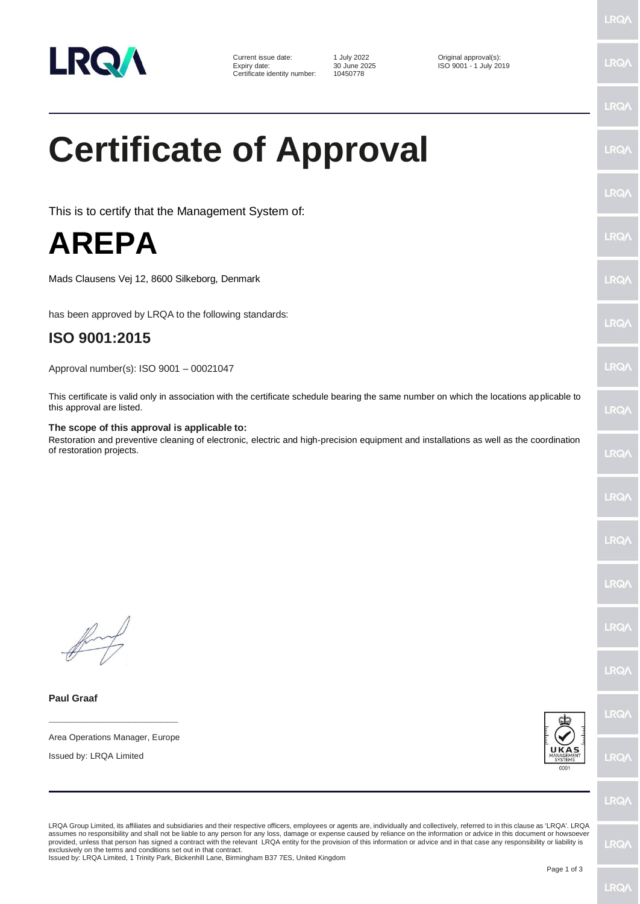

Current issue date: 1 July 2022<br>
Expiry date: 1 30 June 2025<br>
Certificate identity number: 10450778<br>
Certificate identity number: 10450778 Expiry date: 30 June 2025 ISO 9001 - 1 July 2019 Certificate identity number: 10450778

## **Certificate of Approval**

This is to certify that the Management System of:

## **AREPA**

Mads Clausens Vej 12, 8600 Silkeborg, Denmark

has been approved by LRQA to the following standards:

## **ISO 9001:2015**

Approval number(s): ISO 9001 – 00021047

This certificate is valid only in association with the certificate schedule bearing the same number on which the locations applicable to this approval are listed.

## **The scope of this approval is applicable to:**

Restoration and preventive cleaning of electronic, electric and high-precision equipment and installations as well as the coordination of restoration projects.

**Paul Graaf**

**\_\_\_\_\_\_\_\_\_\_\_\_\_\_\_\_\_\_\_\_\_\_\_\_** Area Operations Manager, Europe

Issued by: LRQA Limited



LRO/

LRQA Group Limited, its affiliates and subsidiaries and their respective officers, employees or agents are, individually and collectively, referred to in this clause as 'LRQA'. LRQA assumes no responsibility and shall not be liable to any person for any loss, damage or expense caused by reliance on the information or advice in this document or howsoever provided, unless that person has signed a contract with the relevant LRQA entity for the provision of this information or advice and in that case any responsibility or liability is<br>exclusively on the terms and conditions s

Issued by: LRQA Limited, 1 Trinity Park, Bickenhill Lane, Birmingham B37 7ES, United Kingdom

LRQ/

**LRQ/** 

LRQ/

**LRO/** 

**LRQ** 

LRQ/

**LRQ/** 

**LRQ/** 

LRQ/

LRQ/

LRQ/

LRQ/

LRQ/

LRQ/

LRQ/

LRQ/

LRQ/

**LRQ/**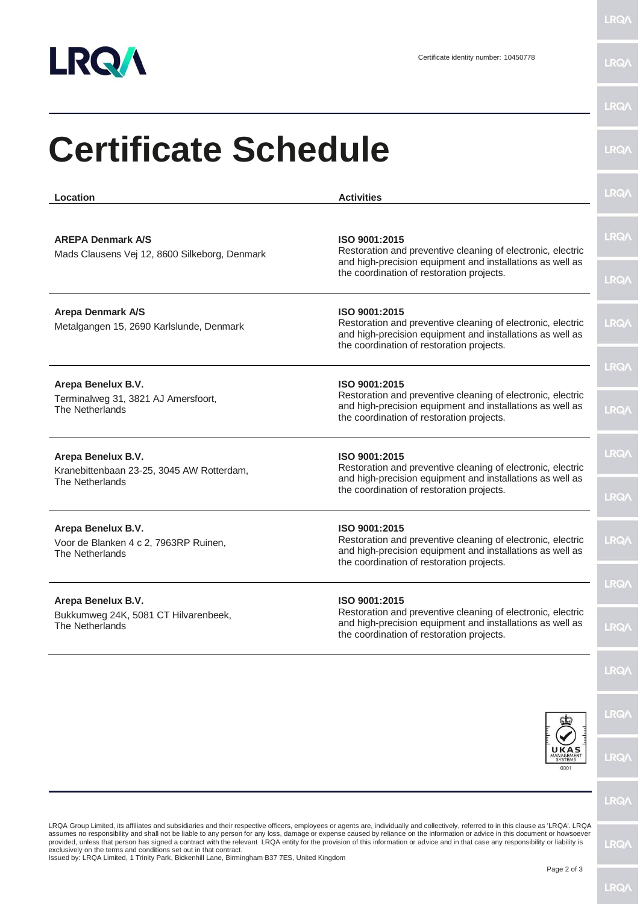

LRQ/\

| Location                                                                       | <b>Activities</b>                                                                                                                                                                      | <b>LRQ/</b> |
|--------------------------------------------------------------------------------|----------------------------------------------------------------------------------------------------------------------------------------------------------------------------------------|-------------|
| <b>AREPA Denmark A/S</b><br>Mads Clausens Vej 12, 8600 Silkeborg, Denmark      | ISO 9001:2015<br>Restoration and preventive cleaning of electronic, electric<br>and high-precision equipment and installations as well as<br>the coordination of restoration projects. | <b>LRQA</b> |
|                                                                                |                                                                                                                                                                                        | <b>LRQA</b> |
| <b>Arepa Denmark A/S</b><br>Metalgangen 15, 2690 Karlslunde, Denmark           | ISO 9001:2015<br>Restoration and preventive cleaning of electronic, electric<br>and high-precision equipment and installations as well as<br>the coordination of restoration projects. | <b>LRQA</b> |
| Arepa Benelux B.V.                                                             | ISO 9001:2015                                                                                                                                                                          | LRQ/        |
| Terminalweg 31, 3821 AJ Amersfoort,<br>The Netherlands                         | Restoration and preventive cleaning of electronic, electric<br>and high-precision equipment and installations as well as<br>the coordination of restoration projects.                  | LRQ/        |
| Arepa Benelux B.V.                                                             | ISO 9001:2015<br>Restoration and preventive cleaning of electronic, electric                                                                                                           | <b>LRQA</b> |
| Kranebittenbaan 23-25, 3045 AW Rotterdam,<br>The Netherlands                   | and high-precision equipment and installations as well as<br>the coordination of restoration projects.                                                                                 | LRQ/        |
| Arepa Benelux B.V.<br>Voor de Blanken 4 c 2, 7963RP Ruinen,<br>The Netherlands | ISO 9001:2015<br>Restoration and preventive cleaning of electronic, electric<br>and high-precision equipment and installations as well as<br>the coordination of restoration projects. | <b>LRQA</b> |
|                                                                                | ISO 9001:2015                                                                                                                                                                          | LRQ/        |
| Arepa Benelux B.V.<br>Bukkumweg 24K, 5081 CT Hilvarenbeek,<br>The Netherlands  | Restoration and preventive cleaning of electronic, electric<br>and high-precision equipment and installations as well as<br>the coordination of restoration projects.                  | LRQ/        |
|                                                                                |                                                                                                                                                                                        | LRQ/        |
|                                                                                |                                                                                                                                                                                        | LRQ/        |
|                                                                                | <b>SYSTEMS</b><br>000.                                                                                                                                                                 | LRQ/        |
|                                                                                |                                                                                                                                                                                        | <b>LRQA</b> |